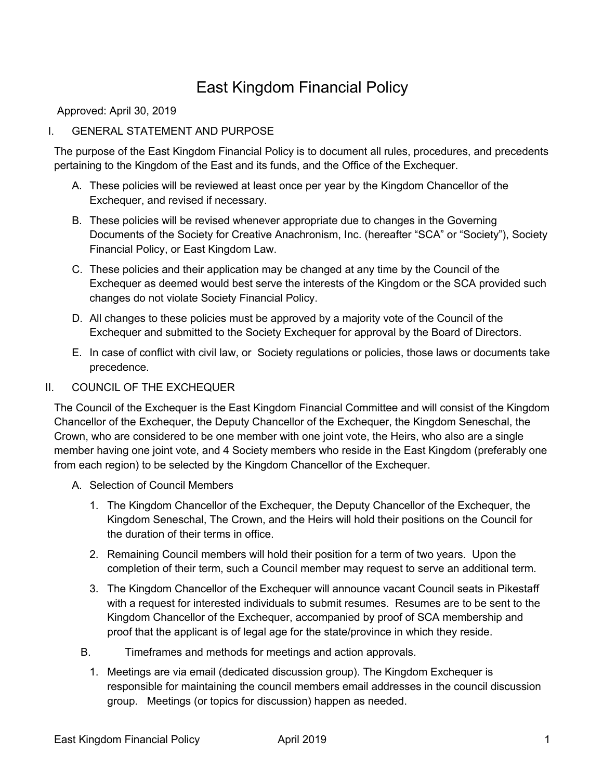# East Kingdom Financial Policy

Approved: April 30, 2019

# I. GENERAL STATEMENT AND PURPOSE

The purpose of the East Kingdom Financial Policy is to document all rules, procedures, and precedents pertaining to the Kingdom of the East and its funds, and the Office of the Exchequer.

- A. These policies will be reviewed at least once per year by the Kingdom Chancellor of the Exchequer, and revised if necessary.
- B. These policies will be revised whenever appropriate due to changes in the Governing Documents of the Society for Creative Anachronism, Inc. (hereafter "SCA" or "Society"), Society Financial Policy, or East Kingdom Law.
- C. These policies and their application may be changed at any time by the Council of the Exchequer as deemed would best serve the interests of the Kingdom or the SCA provided such changes do not violate Society Financial Policy.
- D. All changes to these policies must be approved by a majority vote of the Council of the Exchequer and submitted to the Society Exchequer for approval by the Board of Directors.
- E. In case of conflict with civil law, or Society regulations or policies, those laws or documents take precedence.

#### II. COUNCIL OF THE EXCHEQUER

The Council of the Exchequer is the East Kingdom Financial Committee and will consist of the Kingdom Chancellor of the Exchequer, the Deputy Chancellor of the Exchequer, the Kingdom Seneschal, the Crown, who are considered to be one member with one joint vote, the Heirs, who also are a single member having one joint vote, and 4 Society members who reside in the East Kingdom (preferably one from each region) to be selected by the Kingdom Chancellor of the Exchequer.

- A. Selection of Council Members
	- 1. The Kingdom Chancellor of the Exchequer, the Deputy Chancellor of the Exchequer, the Kingdom Seneschal, The Crown, and the Heirs will hold their positions on the Council for the duration of their terms in office.
	- 2. Remaining Council members will hold their position for a term of two years. Upon the completion of their term, such a Council member may request to serve an additional term.
	- 3. The Kingdom Chancellor of the Exchequer will announce vacant Council seats in Pikestaff with a request for interested individuals to submit resumes. Resumes are to be sent to the Kingdom Chancellor of the Exchequer, accompanied by proof of SCA membership and proof that the applicant is of legal age for the state/province in which they reside.
	- B. Timeframes and methods for meetings and action approvals.
		- 1. Meetings are via email (dedicated discussion group). The Kingdom Exchequer is responsible for maintaining the council members email addresses in the council discussion group. Meetings (or topics for discussion) happen as needed.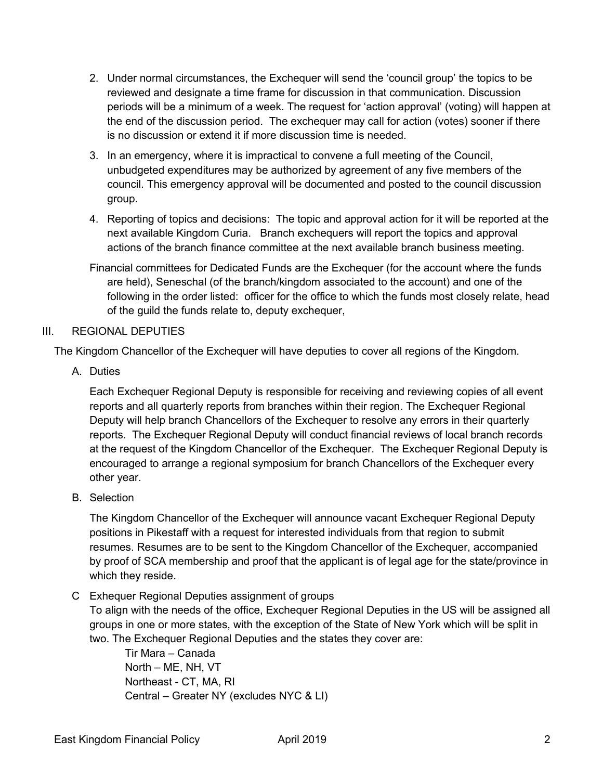- 2. Under normal circumstances, the Exchequer will send the 'council group' the topics to be reviewed and designate a time frame for discussion in that communication. Discussion periods will be a minimum of a week. The request for 'action approval' (voting) will happen at the end of the discussion period. The exchequer may call for action (votes) sooner if there is no discussion or extend it if more discussion time is needed.
- 3. In an emergency, where it is impractical to convene a full meeting of the Council, unbudgeted expenditures may be authorized by agreement of any five members of the council. This emergency approval will be documented and posted to the council discussion group.
- 4. Reporting of topics and decisions: The topic and approval action for it will be reported at the next available Kingdom Curia. Branch exchequers will report the topics and approval actions of the branch finance committee at the next available branch business meeting.
- Financial committees for Dedicated Funds are the Exchequer (for the account where the funds are held), Seneschal (of the branch/kingdom associated to the account) and one of the following in the order listed: officer for the office to which the funds most closely relate, head of the guild the funds relate to, deputy exchequer,

# III. REGIONAL DEPUTIES

The Kingdom Chancellor of the Exchequer will have deputies to cover all regions of the Kingdom.

A. Duties

Each Exchequer Regional Deputy is responsible for receiving and reviewing copies of all event reports and all quarterly reports from branches within their region. The Exchequer Regional Deputy will help branch Chancellors of the Exchequer to resolve any errors in their quarterly reports. The Exchequer Regional Deputy will conduct financial reviews of local branch records at the request of the Kingdom Chancellor of the Exchequer. The Exchequer Regional Deputy is encouraged to arrange a regional symposium for branch Chancellors of the Exchequer every other year.

B. Selection

The Kingdom Chancellor of the Exchequer will announce vacant Exchequer Regional Deputy positions in Pikestaff with a request for interested individuals from that region to submit resumes. Resumes are to be sent to the Kingdom Chancellor of the Exchequer, accompanied by proof of SCA membership and proof that the applicant is of legal age for the state/province in which they reside.

C Exhequer Regional Deputies assignment of groups

To align with the needs of the office, Exchequer Regional Deputies in the US will be assigned all groups in one or more states, with the exception of the State of New York which will be split in two. The Exchequer Regional Deputies and the states they cover are:

Tir Mara – Canada North – ME, NH, VT Northeast - CT, MA, RI Central – Greater NY (excludes NYC & LI)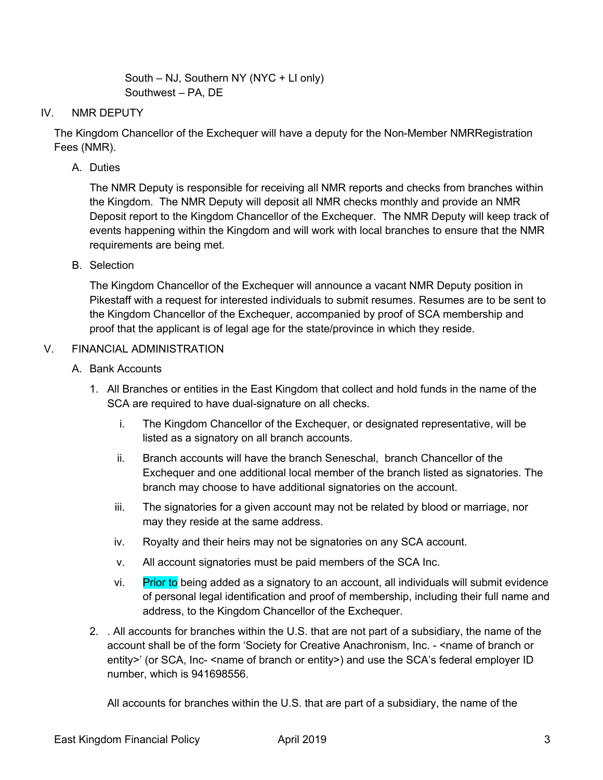South – NJ, Southern NY (NYC + LI only) Southwest – PA, DE

# IV. NMR DEPUTY

The Kingdom Chancellor of the Exchequer will have a deputy for the Non-Member NMRRegistration Fees (NMR).

A. Duties

The NMR Deputy is responsible for receiving all NMR reports and checks from branches within the Kingdom. The NMR Deputy will deposit all NMR checks monthly and provide an NMR Deposit report to the Kingdom Chancellor of the Exchequer. The NMR Deputy will keep track of events happening within the Kingdom and will work with local branches to ensure that the NMR requirements are being met.

B. Selection

The Kingdom Chancellor of the Exchequer will announce a vacant NMR Deputy position in Pikestaff with a request for interested individuals to submit resumes. Resumes are to be sent to the Kingdom Chancellor of the Exchequer, accompanied by proof of SCA membership and proof that the applicant is of legal age for the state/province in which they reside.

# V. FINANCIAL ADMINISTRATION

- A. Bank Accounts
	- 1. All Branches or entities in the East Kingdom that collect and hold funds in the name of the SCA are required to have dual-signature on all checks.
		- i. The Kingdom Chancellor of the Exchequer, or designated representative, will be listed as a signatory on all branch accounts.
		- ii. Branch accounts will have the branch Seneschal, branch Chancellor of the Exchequer and one additional local member of the branch listed as signatories. The branch may choose to have additional signatories on the account.
		- iii. The signatories for a given account may not be related by blood or marriage, nor may they reside at the same address.
		- iv. Royalty and their heirs may not be signatories on any SCA account.
		- v. All account signatories must be paid members of the SCA Inc.
		- vi. Prior to being added as a signatory to an account, all individuals will submit evidence of personal legal identification and proof of membership, including their full name and address, to the Kingdom Chancellor of the Exchequer.
	- 2. . All accounts for branches within the U.S. that are not part of a subsidiary, the name of the account shall be of the form 'Society for Creative Anachronism, Inc. - <name of branch or entity>' (or SCA, Inc- <name of branch or entity>) and use the SCA's federal employer ID number, which is 941698556.

All accounts for branches within the U.S. that are part of a subsidiary, the name of the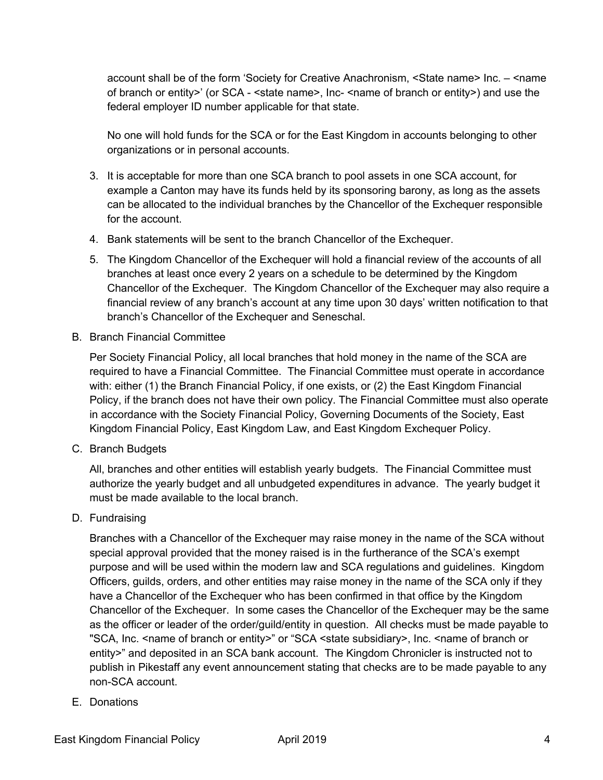account shall be of the form 'Society for Creative Anachronism, <State name> Inc. – <name of branch or entity>' (or SCA - <state name>, Inc- <name of branch or entity>) and use the federal employer ID number applicable for that state.

No one will hold funds for the SCA or for the East Kingdom in accounts belonging to other organizations or in personal accounts.

- 3. It is acceptable for more than one SCA branch to pool assets in one SCA account, for example a Canton may have its funds held by its sponsoring barony, as long as the assets can be allocated to the individual branches by the Chancellor of the Exchequer responsible for the account.
- 4. Bank statements will be sent to the branch Chancellor of the Exchequer.
- 5. The Kingdom Chancellor of the Exchequer will hold a financial review of the accounts of all branches at least once every 2 years on a schedule to be determined by the Kingdom Chancellor of the Exchequer. The Kingdom Chancellor of the Exchequer may also require a financial review of any branch's account at any time upon 30 days' written notification to that branch's Chancellor of the Exchequer and Seneschal.
- B. Branch Financial Committee

Per Society Financial Policy, all local branches that hold money in the name of the SCA are required to have a Financial Committee. The Financial Committee must operate in accordance with: either (1) the Branch Financial Policy, if one exists, or (2) the East Kingdom Financial Policy, if the branch does not have their own policy. The Financial Committee must also operate in accordance with the Society Financial Policy, Governing Documents of the Society, East Kingdom Financial Policy, East Kingdom Law, and East Kingdom Exchequer Policy.

C. Branch Budgets

All, branches and other entities will establish yearly budgets. The Financial Committee must authorize the yearly budget and all unbudgeted expenditures in advance. The yearly budget it must be made available to the local branch.

D. Fundraising

Branches with a Chancellor of the Exchequer may raise money in the name of the SCA without special approval provided that the money raised is in the furtherance of the SCA's exempt purpose and will be used within the modern law and SCA regulations and guidelines. Kingdom Officers, guilds, orders, and other entities may raise money in the name of the SCA only if they have a Chancellor of the Exchequer who has been confirmed in that office by the Kingdom Chancellor of the Exchequer. In some cases the Chancellor of the Exchequer may be the same as the officer or leader of the order/guild/entity in question. All checks must be made payable to "SCA, Inc. <name of branch or entity>" or "SCA <state subsidiary>, Inc. <name of branch or entity>" and deposited in an SCA bank account. The Kingdom Chronicler is instructed not to publish in Pikestaff any event announcement stating that checks are to be made payable to any non-SCA account.

E. Donations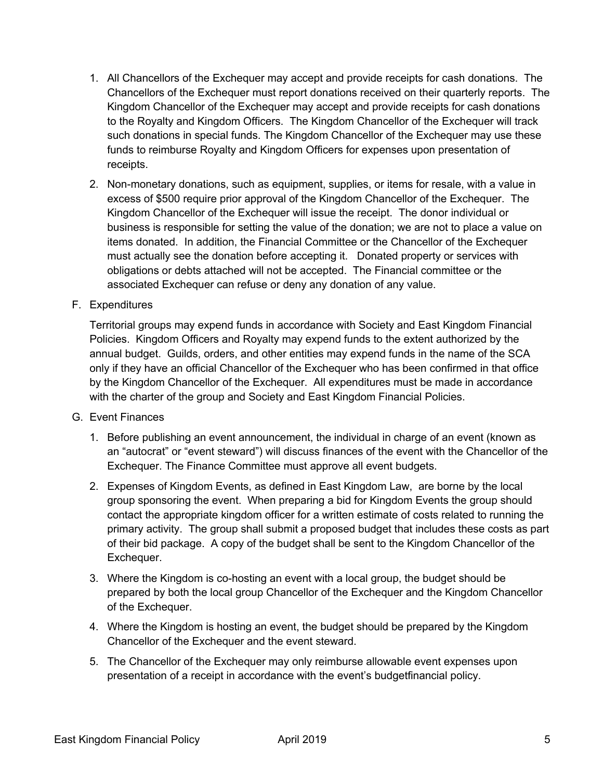- 1. All Chancellors of the Exchequer may accept and provide receipts for cash donations. The Chancellors of the Exchequer must report donations received on their quarterly reports. The Kingdom Chancellor of the Exchequer may accept and provide receipts for cash donations to the Royalty and Kingdom Officers. The Kingdom Chancellor of the Exchequer will track such donations in special funds. The Kingdom Chancellor of the Exchequer may use these funds to reimburse Royalty and Kingdom Officers for expenses upon presentation of receipts.
- 2. Non-monetary donations, such as equipment, supplies, or items for resale, with a value in excess of \$500 require prior approval of the Kingdom Chancellor of the Exchequer. The Kingdom Chancellor of the Exchequer will issue the receipt. The donor individual or business is responsible for setting the value of the donation; we are not to place a value on items donated. In addition, the Financial Committee or the Chancellor of the Exchequer must actually see the donation before accepting it. Donated property or services with obligations or debts attached will not be accepted. The Financial committee or the associated Exchequer can refuse or deny any donation of any value.
- F. Expenditures

Territorial groups may expend funds in accordance with Society and East Kingdom Financial Policies. Kingdom Officers and Royalty may expend funds to the extent authorized by the annual budget. Guilds, orders, and other entities may expend funds in the name of the SCA only if they have an official Chancellor of the Exchequer who has been confirmed in that office by the Kingdom Chancellor of the Exchequer. All expenditures must be made in accordance with the charter of the group and Society and East Kingdom Financial Policies.

- G. Event Finances
	- 1. Before publishing an event announcement, the individual in charge of an event (known as an "autocrat" or "event steward") will discuss finances of the event with the Chancellor of the Exchequer. The Finance Committee must approve all event budgets.
	- 2. Expenses of Kingdom Events, as defined in East Kingdom Law, are borne by the local group sponsoring the event. When preparing a bid for Kingdom Events the group should contact the appropriate kingdom officer for a written estimate of costs related to running the primary activity. The group shall submit a proposed budget that includes these costs as part of their bid package. A copy of the budget shall be sent to the Kingdom Chancellor of the Exchequer.
	- 3. Where the Kingdom is co-hosting an event with a local group, the budget should be prepared by both the local group Chancellor of the Exchequer and the Kingdom Chancellor of the Exchequer.
	- 4. Where the Kingdom is hosting an event, the budget should be prepared by the Kingdom Chancellor of the Exchequer and the event steward.
	- 5. The Chancellor of the Exchequer may only reimburse allowable event expenses upon presentation of a receipt in accordance with the event's budgetfinancial policy.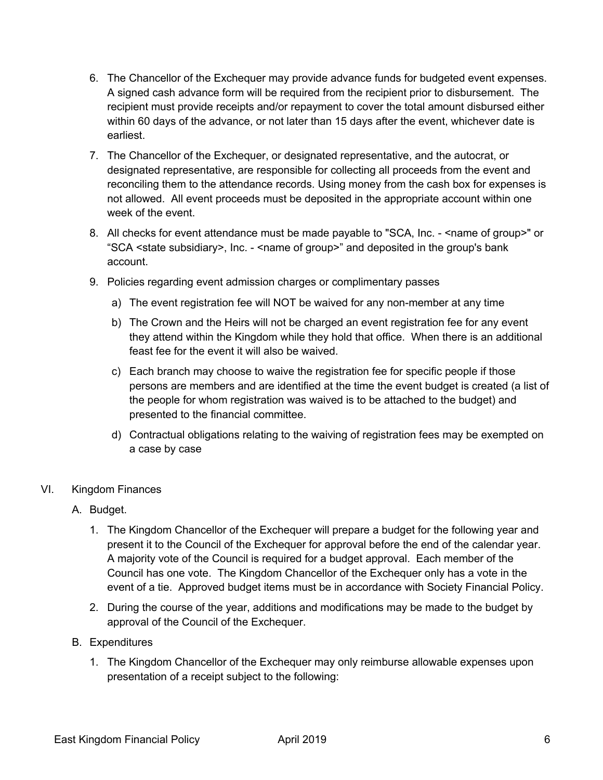- 6. The Chancellor of the Exchequer may provide advance funds for budgeted event expenses. A signed cash advance form will be required from the recipient prior to disbursement. The recipient must provide receipts and/or repayment to cover the total amount disbursed either within 60 days of the advance, or not later than 15 days after the event, whichever date is earliest.
- 7. The Chancellor of the Exchequer, or designated representative, and the autocrat, or designated representative, are responsible for collecting all proceeds from the event and reconciling them to the attendance records. Using money from the cash box for expenses is not allowed. All event proceeds must be deposited in the appropriate account within one week of the event.
- 8. All checks for event attendance must be made payable to "SCA, Inc. < name of group>" or "SCA <state subsidiary>, Inc. - <name of group>" and deposited in the group's bank account.
- 9. Policies regarding event admission charges or complimentary passes
	- a) The event registration fee will NOT be waived for any non-member at any time
	- b) The Crown and the Heirs will not be charged an event registration fee for any event they attend within the Kingdom while they hold that office. When there is an additional feast fee for the event it will also be waived.
	- c) Each branch may choose to waive the registration fee for specific people if those persons are members and are identified at the time the event budget is created (a list of the people for whom registration was waived is to be attached to the budget) and presented to the financial committee.
	- d) Contractual obligations relating to the waiving of registration fees may be exempted on a case by case
- VI. Kingdom Finances
	- A. Budget.
		- 1. The Kingdom Chancellor of the Exchequer will prepare a budget for the following year and present it to the Council of the Exchequer for approval before the end of the calendar year. A majority vote of the Council is required for a budget approval. Each member of the Council has one vote. The Kingdom Chancellor of the Exchequer only has a vote in the event of a tie. Approved budget items must be in accordance with Society Financial Policy.
		- 2. During the course of the year, additions and modifications may be made to the budget by approval of the Council of the Exchequer.
	- B. Expenditures
		- 1. The Kingdom Chancellor of the Exchequer may only reimburse allowable expenses upon presentation of a receipt subject to the following: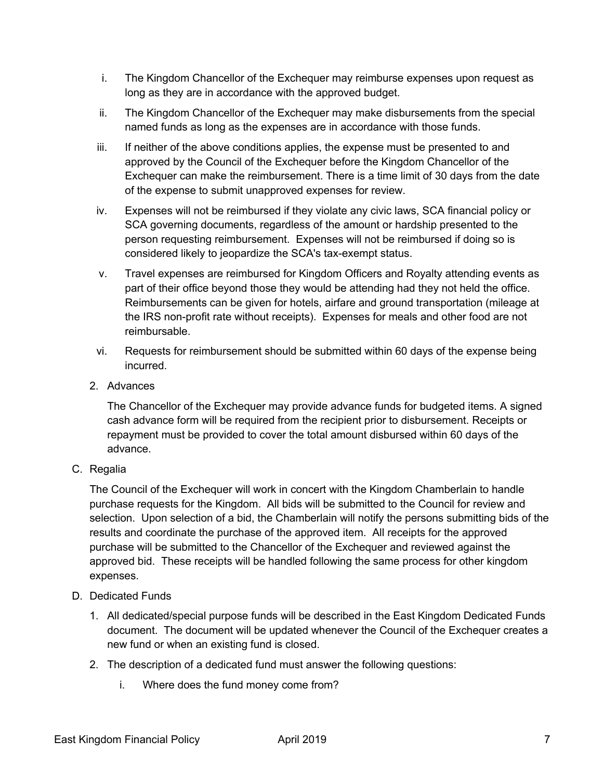- i. The Kingdom Chancellor of the Exchequer may reimburse expenses upon request as long as they are in accordance with the approved budget.
- ii. The Kingdom Chancellor of the Exchequer may make disbursements from the special named funds as long as the expenses are in accordance with those funds.
- iii. If neither of the above conditions applies, the expense must be presented to and approved by the Council of the Exchequer before the Kingdom Chancellor of the Exchequer can make the reimbursement. There is a time limit of 30 days from the date of the expense to submit unapproved expenses for review.
- iv. Expenses will not be reimbursed if they violate any civic laws, SCA financial policy or SCA governing documents, regardless of the amount or hardship presented to the person requesting reimbursement. Expenses will not be reimbursed if doing so is considered likely to jeopardize the SCA's tax-exempt status.
- v. Travel expenses are reimbursed for Kingdom Officers and Royalty attending events as part of their office beyond those they would be attending had they not held the office. Reimbursements can be given for hotels, airfare and ground transportation (mileage at the IRS non-profit rate without receipts). Expenses for meals and other food are not reimbursable.
- vi. Requests for reimbursement should be submitted within 60 days of the expense being incurred.
- 2. Advances

The Chancellor of the Exchequer may provide advance funds for budgeted items. A signed cash advance form will be required from the recipient prior to disbursement. Receipts or repayment must be provided to cover the total amount disbursed within 60 days of the advance.

C. Regalia

The Council of the Exchequer will work in concert with the Kingdom Chamberlain to handle purchase requests for the Kingdom. All bids will be submitted to the Council for review and selection. Upon selection of a bid, the Chamberlain will notify the persons submitting bids of the results and coordinate the purchase of the approved item. All receipts for the approved purchase will be submitted to the Chancellor of the Exchequer and reviewed against the approved bid. These receipts will be handled following the same process for other kingdom expenses.

- D. Dedicated Funds
	- 1. All dedicated/special purpose funds will be described in the East Kingdom Dedicated Funds document. The document will be updated whenever the Council of the Exchequer creates a new fund or when an existing fund is closed.
	- 2. The description of a dedicated fund must answer the following questions:
		- i. Where does the fund money come from?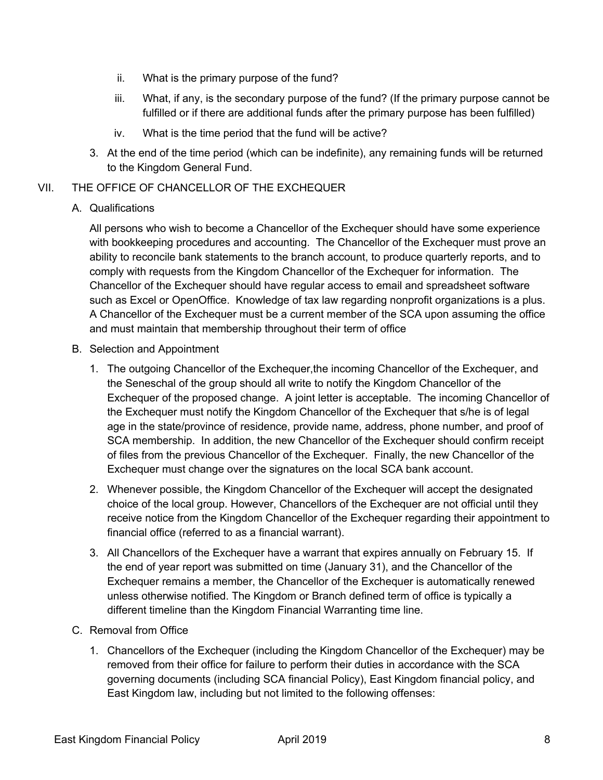- ii. What is the primary purpose of the fund?
- iii. What, if any, is the secondary purpose of the fund? (If the primary purpose cannot be fulfilled or if there are additional funds after the primary purpose has been fulfilled)
- iv. What is the time period that the fund will be active?
- 3. At the end of the time period (which can be indefinite), any remaining funds will be returned to the Kingdom General Fund.

# VII. THE OFFICE OF CHANCELLOR OF THE EXCHEQUER

# A. Qualifications

All persons who wish to become a Chancellor of the Exchequer should have some experience with bookkeeping procedures and accounting. The Chancellor of the Exchequer must prove an ability to reconcile bank statements to the branch account, to produce quarterly reports, and to comply with requests from the Kingdom Chancellor of the Exchequer for information. The Chancellor of the Exchequer should have regular access to email and spreadsheet software such as Excel or OpenOffice. Knowledge of tax law regarding nonprofit organizations is a plus. A Chancellor of the Exchequer must be a current member of the SCA upon assuming the office and must maintain that membership throughout their term of office

- B. Selection and Appointment
	- 1. The outgoing Chancellor of the Exchequer,the incoming Chancellor of the Exchequer, and the Seneschal of the group should all write to notify the Kingdom Chancellor of the Exchequer of the proposed change. A joint letter is acceptable. The incoming Chancellor of the Exchequer must notify the Kingdom Chancellor of the Exchequer that s/he is of legal age in the state/province of residence, provide name, address, phone number, and proof of SCA membership. In addition, the new Chancellor of the Exchequer should confirm receipt of files from the previous Chancellor of the Exchequer. Finally, the new Chancellor of the Exchequer must change over the signatures on the local SCA bank account.
	- 2. Whenever possible, the Kingdom Chancellor of the Exchequer will accept the designated choice of the local group. However, Chancellors of the Exchequer are not official until they receive notice from the Kingdom Chancellor of the Exchequer regarding their appointment to financial office (referred to as a financial warrant).
	- 3. All Chancellors of the Exchequer have a warrant that expires annually on February 15. If the end of year report was submitted on time (January 31), and the Chancellor of the Exchequer remains a member, the Chancellor of the Exchequer is automatically renewed unless otherwise notified. The Kingdom or Branch defined term of office is typically a different timeline than the Kingdom Financial Warranting time line.
- C. Removal from Office
	- 1. Chancellors of the Exchequer (including the Kingdom Chancellor of the Exchequer) may be removed from their office for failure to perform their duties in accordance with the SCA governing documents (including SCA financial Policy), East Kingdom financial policy, and East Kingdom law, including but not limited to the following offenses: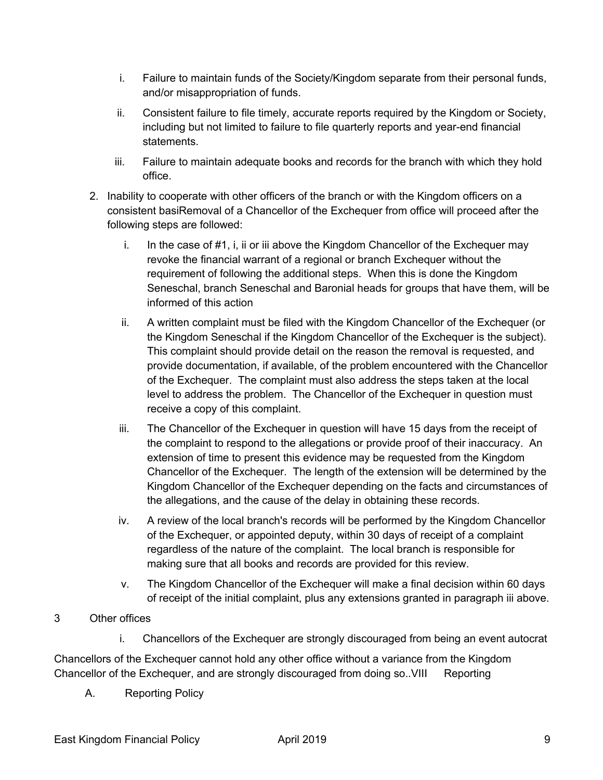- i. Failure to maintain funds of the Society/Kingdom separate from their personal funds, and/or misappropriation of funds.
- ii. Consistent failure to file timely, accurate reports required by the Kingdom or Society, including but not limited to failure to file quarterly reports and year-end financial statements.
- iii. Failure to maintain adequate books and records for the branch with which they hold office.
- 2. Inability to cooperate with other officers of the branch or with the Kingdom officers on a consistent basiRemoval of a Chancellor of the Exchequer from office will proceed after the following steps are followed:
	- i. In the case of #1, i, ii or iii above the Kingdom Chancellor of the Exchequer may revoke the financial warrant of a regional or branch Exchequer without the requirement of following the additional steps. When this is done the Kingdom Seneschal, branch Seneschal and Baronial heads for groups that have them, will be informed of this action
	- ii. A written complaint must be filed with the Kingdom Chancellor of the Exchequer (or the Kingdom Seneschal if the Kingdom Chancellor of the Exchequer is the subject). This complaint should provide detail on the reason the removal is requested, and provide documentation, if available, of the problem encountered with the Chancellor of the Exchequer. The complaint must also address the steps taken at the local level to address the problem. The Chancellor of the Exchequer in question must receive a copy of this complaint.
	- iii. The Chancellor of the Exchequer in question will have 15 days from the receipt of the complaint to respond to the allegations or provide proof of their inaccuracy. An extension of time to present this evidence may be requested from the Kingdom Chancellor of the Exchequer. The length of the extension will be determined by the Kingdom Chancellor of the Exchequer depending on the facts and circumstances of the allegations, and the cause of the delay in obtaining these records.
	- iv. A review of the local branch's records will be performed by the Kingdom Chancellor of the Exchequer, or appointed deputy, within 30 days of receipt of a complaint regardless of the nature of the complaint. The local branch is responsible for making sure that all books and records are provided for this review.
	- v. The Kingdom Chancellor of the Exchequer will make a final decision within 60 days of receipt of the initial complaint, plus any extensions granted in paragraph iii above.

# 3 Other offices

i. Chancellors of the Exchequer are strongly discouraged from being an event autocrat

Chancellors of the Exchequer cannot hold any other office without a variance from the Kingdom Chancellor of the Exchequer, and are strongly discouraged from doing so..VIII Reporting

A. Reporting Policy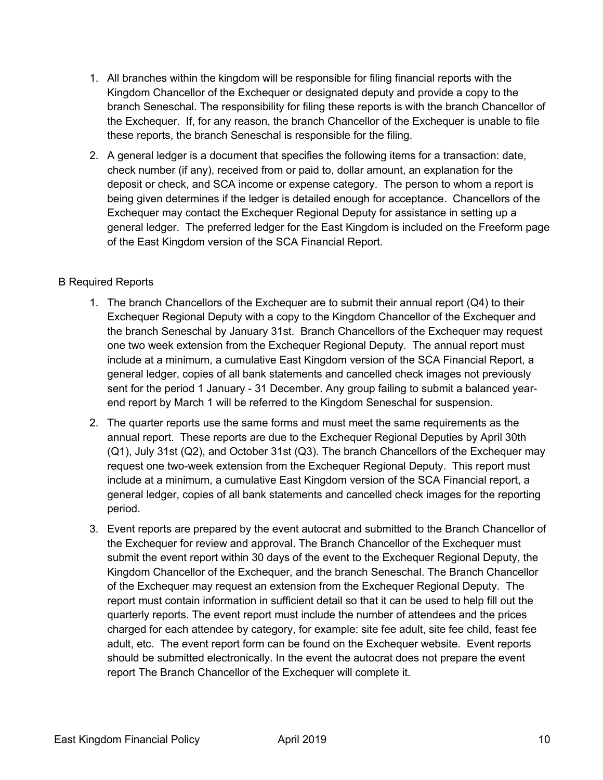- 1. All branches within the kingdom will be responsible for filing financial reports with the Kingdom Chancellor of the Exchequer or designated deputy and provide a copy to the branch Seneschal. The responsibility for filing these reports is with the branch Chancellor of the Exchequer. If, for any reason, the branch Chancellor of the Exchequer is unable to file these reports, the branch Seneschal is responsible for the filing.
- 2. A general ledger is a document that specifies the following items for a transaction: date, check number (if any), received from or paid to, dollar amount, an explanation for the deposit or check, and SCA income or expense category. The person to whom a report is being given determines if the ledger is detailed enough for acceptance. Chancellors of the Exchequer may contact the Exchequer Regional Deputy for assistance in setting up a general ledger. The preferred ledger for the East Kingdom is included on the Freeform page of the East Kingdom version of the SCA Financial Report.

# B Required Reports

- 1. The branch Chancellors of the Exchequer are to submit their annual report (Q4) to their Exchequer Regional Deputy with a copy to the Kingdom Chancellor of the Exchequer and the branch Seneschal by January 31st. Branch Chancellors of the Exchequer may request one two week extension from the Exchequer Regional Deputy. The annual report must include at a minimum, a cumulative East Kingdom version of the SCA Financial Report, a general ledger, copies of all bank statements and cancelled check images not previously sent for the period 1 January - 31 December. Any group failing to submit a balanced yearend report by March 1 will be referred to the Kingdom Seneschal for suspension.
- 2. The quarter reports use the same forms and must meet the same requirements as the annual report. These reports are due to the Exchequer Regional Deputies by April 30th (Q1), July 31st (Q2), and October 31st (Q3). The branch Chancellors of the Exchequer may request one two-week extension from the Exchequer Regional Deputy. This report must include at a minimum, a cumulative East Kingdom version of the SCA Financial report, a general ledger, copies of all bank statements and cancelled check images for the reporting period.
- 3. Event reports are prepared by the event autocrat and submitted to the Branch Chancellor of the Exchequer for review and approval. The Branch Chancellor of the Exchequer must submit the event report within 30 days of the event to the Exchequer Regional Deputy, the Kingdom Chancellor of the Exchequer, and the branch Seneschal. The Branch Chancellor of the Exchequer may request an extension from the Exchequer Regional Deputy. The report must contain information in sufficient detail so that it can be used to help fill out the quarterly reports. The event report must include the number of attendees and the prices charged for each attendee by category, for example: site fee adult, site fee child, feast fee adult, etc. The event report form can be found on the Exchequer website. Event reports should be submitted electronically. In the event the autocrat does not prepare the event report The Branch Chancellor of the Exchequer will complete it.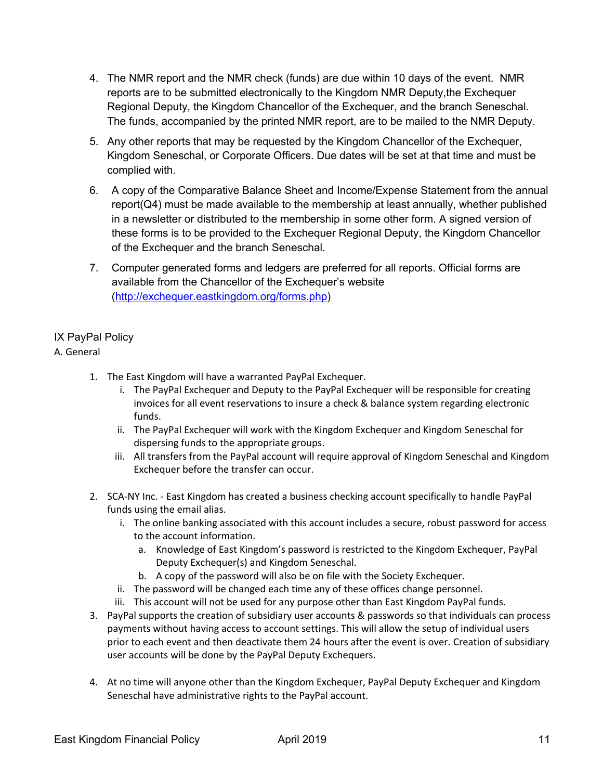- 4. The NMR report and the NMR check (funds) are due within 10 days of the event. NMR reports are to be submitted electronically to the Kingdom NMR Deputy,the Exchequer Regional Deputy, the Kingdom Chancellor of the Exchequer, and the branch Seneschal. The funds, accompanied by the printed NMR report, are to be mailed to the NMR Deputy.
- 5. Any other reports that may be requested by the Kingdom Chancellor of the Exchequer, Kingdom Seneschal, or Corporate Officers. Due dates will be set at that time and must be complied with.
- 6. A copy of the Comparative Balance Sheet and Income/Expense Statement from the annual report( $Q4$ ) must be made available to the membership at least annually, whether published in a newsletter or distributed to the membership in some other form. A signed version of these forms is to be provided to the Exchequer Regional Deputy, the Kingdom Chancellor of the Exchequer and the branch Seneschal.
- 7. Computer generated forms and ledgers are preferred for all reports. Official forms are available from the Chancellor of the Exchequer's website (http://exchequer.eastkingdom.org/forms.php)

# IX PayPal Policy

# A. General

- 1. The East Kingdom will have a warranted PayPal Exchequer.
	- i. The PayPal Exchequer and Deputy to the PayPal Exchequer will be responsible for creating invoices for all event reservations to insure a check & balance system regarding electronic funds.
	- ii. The PayPal Exchequer will work with the Kingdom Exchequer and Kingdom Seneschal for dispersing funds to the appropriate groups.
	- iii. All transfers from the PayPal account will require approval of Kingdom Seneschal and Kingdom Exchequer before the transfer can occur.
- 2. SCA-NY Inc. East Kingdom has created a business checking account specifically to handle PayPal funds using the email alias.
	- i. The online banking associated with this account includes a secure, robust password for access to the account information.
		- a. Knowledge of East Kingdom's password is restricted to the Kingdom Exchequer, PayPal Deputy Exchequer(s) and Kingdom Seneschal.
		- b. A copy of the password will also be on file with the Society Exchequer.
	- ii. The password will be changed each time any of these offices change personnel.
	- iii. This account will not be used for any purpose other than East Kingdom PayPal funds.
- 3. PayPal supports the creation of subsidiary user accounts & passwords so that individuals can process payments without having access to account settings. This will allow the setup of individual users prior to each event and then deactivate them 24 hours after the event is over. Creation of subsidiary user accounts will be done by the PayPal Deputy Exchequers.
- 4. At no time will anyone other than the Kingdom Exchequer, PayPal Deputy Exchequer and Kingdom Seneschal have administrative rights to the PayPal account.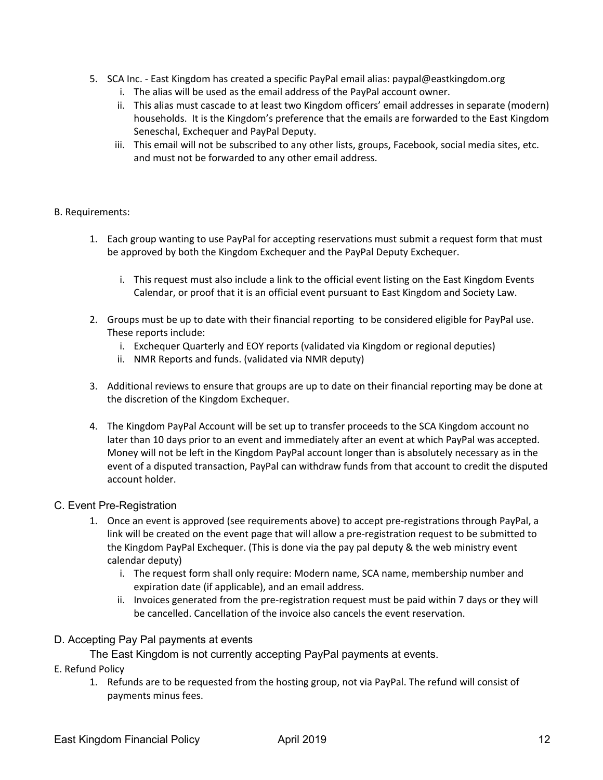- 5. SCA Inc. East Kingdom has created a specific PayPal email alias: paypal@eastkingdom.org
	- i. The alias will be used as the email address of the PayPal account owner.
	- ii. This alias must cascade to at least two Kingdom officers' email addresses in separate (modern) households. It is the Kingdom's preference that the emails are forwarded to the East Kingdom Seneschal, Exchequer and PayPal Deputy.
	- iii. This email will not be subscribed to any other lists, groups, Facebook, social media sites, etc. and must not be forwarded to any other email address.

#### B. Requirements:

- 1. Each group wanting to use PayPal for accepting reservations must submit a request form that must be approved by both the Kingdom Exchequer and the PayPal Deputy Exchequer.
	- i. This request must also include a link to the official event listing on the East Kingdom Events Calendar, or proof that it is an official event pursuant to East Kingdom and Society Law.
- 2. Groups must be up to date with their financial reporting to be considered eligible for PayPal use. These reports include:
	- i. Exchequer Quarterly and EOY reports (validated via Kingdom or regional deputies)
	- ii. NMR Reports and funds. (validated via NMR deputy)
- 3. Additional reviews to ensure that groups are up to date on their financial reporting may be done at the discretion of the Kingdom Exchequer.
- 4. The Kingdom PayPal Account will be set up to transfer proceeds to the SCA Kingdom account no later than 10 days prior to an event and immediately after an event at which PayPal was accepted. Money will not be left in the Kingdom PayPal account longer than is absolutely necessary as in the event of a disputed transaction, PayPal can withdraw funds from that account to credit the disputed account holder.

#### C. Event Pre-Registration

- 1. Once an event is approved (see requirements above) to accept pre-registrations through PayPal, a link will be created on the event page that will allow a pre-registration request to be submitted to the Kingdom PayPal Exchequer. (This is done via the pay pal deputy & the web ministry event calendar deputy)
	- i. The request form shall only require: Modern name, SCA name, membership number and expiration date (if applicable), and an email address.
	- ii. Invoices generated from the pre-registration request must be paid within 7 days or they will be cancelled. Cancellation of the invoice also cancels the event reservation.
- D. Accepting Pay Pal payments at events

The East Kingdom is not currently accepting PayPal payments at events.

- E. Refund Policy
	- 1. Refunds are to be requested from the hosting group, not via PayPal. The refund will consist of payments minus fees.